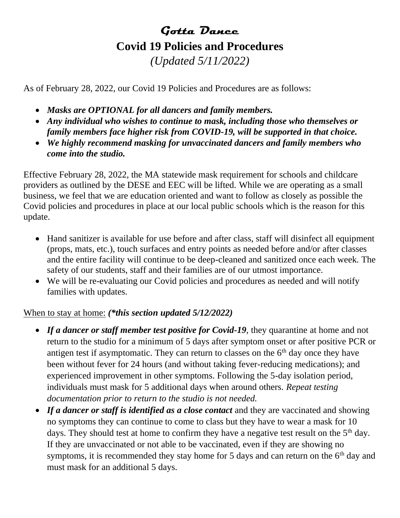# **Gotta Dance Covid 19 Policies and Procedures** *(Updated 5/11/2022)*

As of February 28, 2022, our Covid 19 Policies and Procedures are as follows:

- *Masks are OPTIONAL for all dancers and family members.*
- *Any individual who wishes to continue to mask, including those who themselves or family members face higher risk from COVID-19, will be supported in that choice.*
- *We highly recommend masking for unvaccinated dancers and family members who come into the studio.*

Effective February 28, 2022, the MA statewide mask requirement for schools and childcare providers as outlined by the DESE and EEC will be lifted. While we are operating as a small business, we feel that we are education oriented and want to follow as closely as possible the Covid policies and procedures in place at our local public schools which is the reason for this update.

- Hand sanitizer is available for use before and after class, staff will disinfect all equipment (props, mats, etc.), touch surfaces and entry points as needed before and/or after classes and the entire facility will continue to be deep-cleaned and sanitized once each week. The safety of our students, staff and their families are of our utmost importance.
- We will be re-evaluating our Covid policies and procedures as needed and will notify families with updates.

### When to stay at home: *(\*this section updated 5/12/2022)*

- If a dancer or staff member test positive for Covid-19, they quarantine at home and not return to the studio for a minimum of 5 days after symptom onset or after positive PCR or antigen test if asymptomatic. They can return to classes on the  $6<sup>th</sup>$  day once they have been without fever for 24 hours (and without taking fever-reducing medications); and experienced improvement in other symptoms. Following the 5-day isolation period, individuals must mask for 5 additional days when around others. *Repeat testing documentation prior to return to the studio is not needed.*
- *If a dancer or staff is identified as a close contact* and they are vaccinated and showing no symptoms they can continue to come to class but they have to wear a mask for 10 days. They should test at home to confirm they have a negative test result on the 5<sup>th</sup> day. If they are unvaccinated or not able to be vaccinated, even if they are showing no symptoms, it is recommended they stay home for 5 days and can return on the  $6<sup>th</sup>$  day and must mask for an additional 5 days.